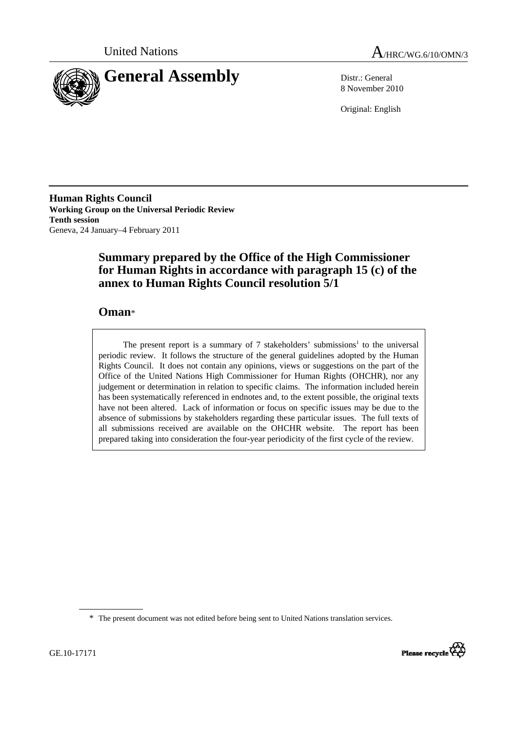



8 November 2010

Original: English

**Human Rights Council Working Group on the Universal Periodic Review Tenth session**  Geneva, 24 January–4 February 2011

# **Summary prepared by the Office of the High Commissioner for Human Rights in accordance with paragraph 15 (c) of the annex to Human Rights Council resolution 5/1**

## **Oman**\*

The present report is a summary of  $7$  stakeholders' submissions<sup>1</sup> to the universal periodic review. It follows the structure of the general guidelines adopted by the Human Rights Council. It does not contain any opinions, views or suggestions on the part of the Office of the United Nations High Commissioner for Human Rights (OHCHR), nor any judgement or determination in relation to specific claims. The information included herein has been systematically referenced in endnotes and, to the extent possible, the original texts have not been altered. Lack of information or focus on specific issues may be due to the absence of submissions by stakeholders regarding these particular issues. The full texts of all submissions received are available on the OHCHR website. The report has been prepared taking into consideration the four-year periodicity of the first cycle of the review.

<sup>\*</sup> The present document was not edited before being sent to United Nations translation services.

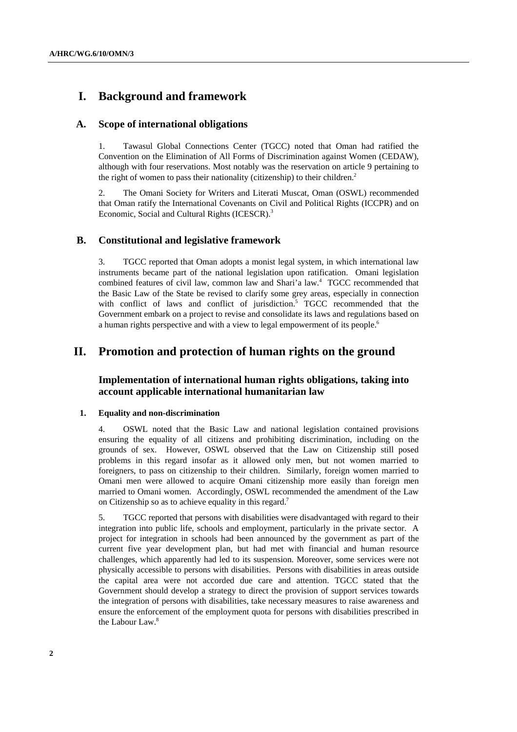# **I. Background and framework**

### **A. Scope of international obligations**

1. Tawasul Global Connections Center (TGCC) noted that Oman had ratified the Convention on the Elimination of All Forms of Discrimination against Women (CEDAW), although with four reservations. Most notably was the reservation on article 9 pertaining to the right of women to pass their nationality (citizenship) to their children.<sup>2</sup>

2. The Omani Society for Writers and Literati Muscat, Oman (OSWL) recommended that Oman ratify the International Covenants on Civil and Political Rights (ICCPR) and on Economic, Social and Cultural Rights (ICESCR).<sup>3</sup>

### **B. Constitutional and legislative framework**

3. TGCC reported that Oman adopts a monist legal system, in which international law instruments became part of the national legislation upon ratification. Omani legislation combined features of civil law, common law and Shari'a law.4 TGCC recommended that the Basic Law of the State be revised to clarify some grey areas, especially in connection with conflict of laws and conflict of jurisdiction.<sup>5</sup> TGCC recommended that the Government embark on a project to revise and consolidate its laws and regulations based on a human rights perspective and with a view to legal empowerment of its people.<sup>6</sup>

## **II. Promotion and protection of human rights on the ground**

### **Implementation of international human rights obligations, taking into account applicable international humanitarian law**

#### **1. Equality and non-discrimination**

4. OSWL noted that the Basic Law and national legislation contained provisions ensuring the equality of all citizens and prohibiting discrimination, including on the grounds of sex. However, OSWL observed that the Law on Citizenship still posed problems in this regard insofar as it allowed only men, but not women married to foreigners, to pass on citizenship to their children. Similarly, foreign women married to Omani men were allowed to acquire Omani citizenship more easily than foreign men married to Omani women. Accordingly, OSWL recommended the amendment of the Law on Citizenship so as to achieve equality in this regard.7

5. TGCC reported that persons with disabilities were disadvantaged with regard to their integration into public life, schools and employment, particularly in the private sector. A project for integration in schools had been announced by the government as part of the current five year development plan, but had met with financial and human resource challenges, which apparently had led to its suspension. Moreover, some services were not physically accessible to persons with disabilities. Persons with disabilities in areas outside the capital area were not accorded due care and attention. TGCC stated that the Government should develop a strategy to direct the provision of support services towards the integration of persons with disabilities, take necessary measures to raise awareness and ensure the enforcement of the employment quota for persons with disabilities prescribed in the Labour Law.<sup>8</sup>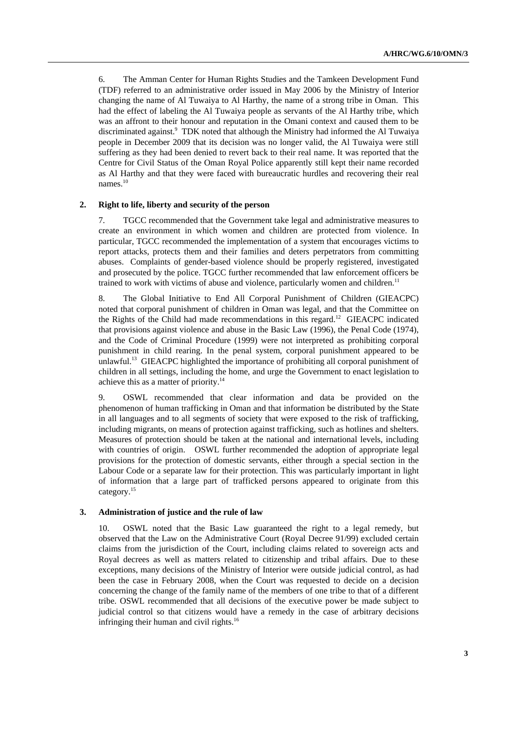6. The Amman Center for Human Rights Studies and the Tamkeen Development Fund (TDF) referred to an administrative order issued in May 2006 by the Ministry of Interior changing the name of Al Tuwaiya to Al Harthy, the name of a strong tribe in Oman. This had the effect of labeling the Al Tuwaiya people as servants of the Al Harthy tribe, which was an affront to their honour and reputation in the Omani context and caused them to be discriminated against.<sup>9</sup> TDK noted that although the Ministry had informed the Al Tuwaiya people in December 2009 that its decision was no longer valid, the Al Tuwaiya were still suffering as they had been denied to revert back to their real name. It was reported that the Centre for Civil Status of the Oman Royal Police apparently still kept their name recorded as Al Harthy and that they were faced with bureaucratic hurdles and recovering their real names.<sup>10</sup>

#### **2. Right to life, liberty and security of the person**

7. TGCC recommended that the Government take legal and administrative measures to create an environment in which women and children are protected from violence. In particular, TGCC recommended the implementation of a system that encourages victims to report attacks, protects them and their families and deters perpetrators from committing abuses. Complaints of gender-based violence should be properly registered, investigated and prosecuted by the police. TGCC further recommended that law enforcement officers be trained to work with victims of abuse and violence, particularly women and children.<sup>11</sup>

8. The Global Initiative to End All Corporal Punishment of Children (GIEACPC) noted that corporal punishment of children in Oman was legal, and that the Committee on the Rights of the Child had made recommendations in this regard.<sup>12</sup> GIEACPC indicated that provisions against violence and abuse in the Basic Law (1996), the Penal Code (1974), and the Code of Criminal Procedure (1999) were not interpreted as prohibiting corporal punishment in child rearing. In the penal system, corporal punishment appeared to be unlawful.<sup>13</sup> GIEACPC highlighted the importance of prohibiting all corporal punishment of children in all settings, including the home, and urge the Government to enact legislation to achieve this as a matter of priority.<sup>14</sup>

9. OSWL recommended that clear information and data be provided on the phenomenon of human trafficking in Oman and that information be distributed by the State in all languages and to all segments of society that were exposed to the risk of trafficking, including migrants, on means of protection against trafficking, such as hotlines and shelters. Measures of protection should be taken at the national and international levels, including with countries of origin. OSWL further recommended the adoption of appropriate legal provisions for the protection of domestic servants, either through a special section in the Labour Code or a separate law for their protection. This was particularly important in light of information that a large part of trafficked persons appeared to originate from this category.15

#### **3. Administration of justice and the rule of law**

10. OSWL noted that the Basic Law guaranteed the right to a legal remedy, but observed that the Law on the Administrative Court (Royal Decree 91/99) excluded certain claims from the jurisdiction of the Court, including claims related to sovereign acts and Royal decrees as well as matters related to citizenship and tribal affairs. Due to these exceptions, many decisions of the Ministry of Interior were outside judicial control, as had been the case in February 2008, when the Court was requested to decide on a decision concerning the change of the family name of the members of one tribe to that of a different tribe. OSWL recommended that all decisions of the executive power be made subject to judicial control so that citizens would have a remedy in the case of arbitrary decisions infringing their human and civil rights.<sup>16</sup>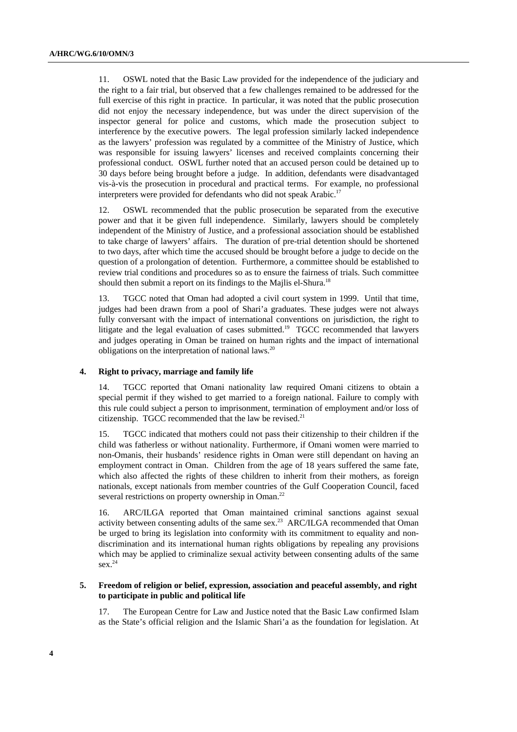11. OSWL noted that the Basic Law provided for the independence of the judiciary and the right to a fair trial, but observed that a few challenges remained to be addressed for the full exercise of this right in practice. In particular, it was noted that the public prosecution did not enjoy the necessary independence, but was under the direct supervision of the inspector general for police and customs, which made the prosecution subject to interference by the executive powers. The legal profession similarly lacked independence as the lawyers' profession was regulated by a committee of the Ministry of Justice, which was responsible for issuing lawyers' licenses and received complaints concerning their professional conduct. OSWL further noted that an accused person could be detained up to 30 days before being brought before a judge. In addition, defendants were disadvantaged vis-à-vis the prosecution in procedural and practical terms. For example, no professional interpreters were provided for defendants who did not speak Arabic.<sup>17</sup>

12. OSWL recommended that the public prosecution be separated from the executive power and that it be given full independence. Similarly, lawyers should be completely independent of the Ministry of Justice, and a professional association should be established to take charge of lawyers' affairs. The duration of pre-trial detention should be shortened to two days, after which time the accused should be brought before a judge to decide on the question of a prolongation of detention. Furthermore, a committee should be established to review trial conditions and procedures so as to ensure the fairness of trials. Such committee should then submit a report on its findings to the Majlis el-Shura.<sup>18</sup>

13. TGCC noted that Oman had adopted a civil court system in 1999. Until that time, judges had been drawn from a pool of Shari'a graduates. These judges were not always fully conversant with the impact of international conventions on jurisdiction, the right to litigate and the legal evaluation of cases submitted.<sup>19</sup> TGCC recommended that lawyers and judges operating in Oman be trained on human rights and the impact of international obligations on the interpretation of national laws.<sup>20</sup>

#### **4. Right to privacy, marriage and family life**

14. TGCC reported that Omani nationality law required Omani citizens to obtain a special permit if they wished to get married to a foreign national. Failure to comply with this rule could subject a person to imprisonment, termination of employment and/or loss of citizenship. TGCC recommended that the law be revised.<sup>21</sup>

15. TGCC indicated that mothers could not pass their citizenship to their children if the child was fatherless or without nationality. Furthermore, if Omani women were married to non-Omanis, their husbands' residence rights in Oman were still dependant on having an employment contract in Oman. Children from the age of 18 years suffered the same fate, which also affected the rights of these children to inherit from their mothers, as foreign nationals, except nationals from member countries of the Gulf Cooperation Council, faced several restrictions on property ownership in Oman.<sup>22</sup>

16. ARC/ILGA reported that Oman maintained criminal sanctions against sexual activity between consenting adults of the same sex.<sup>23</sup> ARC/ILGA recommended that Oman be urged to bring its legislation into conformity with its commitment to equality and nondiscrimination and its international human rights obligations by repealing any provisions which may be applied to criminalize sexual activity between consenting adults of the same sex.<sup>24</sup>

#### **5. Freedom of religion or belief, expression, association and peaceful assembly, and right to participate in public and political life**

17. The European Centre for Law and Justice noted that the Basic Law confirmed Islam as the State's official religion and the Islamic Shari'a as the foundation for legislation. At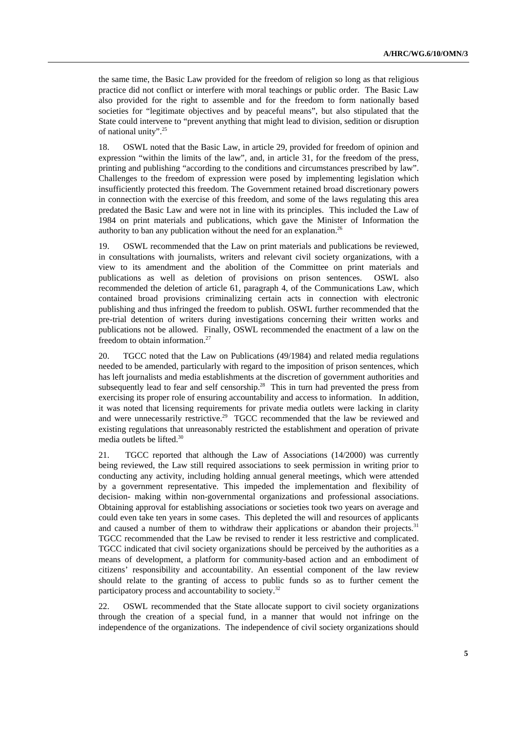the same time, the Basic Law provided for the freedom of religion so long as that religious practice did not conflict or interfere with moral teachings or public order. The Basic Law also provided for the right to assemble and for the freedom to form nationally based societies for "legitimate objectives and by peaceful means", but also stipulated that the State could intervene to "prevent anything that might lead to division, sedition or disruption of national unity".25

18. OSWL noted that the Basic Law, in article 29, provided for freedom of opinion and expression "within the limits of the law", and, in article 31, for the freedom of the press, printing and publishing "according to the conditions and circumstances prescribed by law". Challenges to the freedom of expression were posed by implementing legislation which insufficiently protected this freedom. The Government retained broad discretionary powers in connection with the exercise of this freedom, and some of the laws regulating this area predated the Basic Law and were not in line with its principles. This included the Law of 1984 on print materials and publications, which gave the Minister of Information the authority to ban any publication without the need for an explanation.<sup>26</sup>

19. OSWL recommended that the Law on print materials and publications be reviewed, in consultations with journalists, writers and relevant civil society organizations, with a view to its amendment and the abolition of the Committee on print materials and publications as well as deletion of provisions on prison sentences. OSWL also recommended the deletion of article 61, paragraph 4, of the Communications Law, which contained broad provisions criminalizing certain acts in connection with electronic publishing and thus infringed the freedom to publish. OSWL further recommended that the pre-trial detention of writers during investigations concerning their written works and publications not be allowed. Finally, OSWL recommended the enactment of a law on the freedom to obtain information.<sup>27</sup>

20. TGCC noted that the Law on Publications (49/1984) and related media regulations needed to be amended, particularly with regard to the imposition of prison sentences, which has left journalists and media establishments at the discretion of government authorities and subsequently lead to fear and self censorship.<sup>28</sup> This in turn had prevented the press from exercising its proper role of ensuring accountability and access to information. In addition, it was noted that licensing requirements for private media outlets were lacking in clarity and were unnecessarily restrictive.<sup>29</sup> TGCC recommended that the law be reviewed and existing regulations that unreasonably restricted the establishment and operation of private media outlets be lifted.30

21. TGCC reported that although the Law of Associations (14/2000) was currently being reviewed, the Law still required associations to seek permission in writing prior to conducting any activity, including holding annual general meetings, which were attended by a government representative. This impeded the implementation and flexibility of decision- making within non-governmental organizations and professional associations. Obtaining approval for establishing associations or societies took two years on average and could even take ten years in some cases. This depleted the will and resources of applicants and caused a number of them to withdraw their applications or abandon their projects.<sup>31</sup> TGCC recommended that the Law be revised to render it less restrictive and complicated. TGCC indicated that civil society organizations should be perceived by the authorities as a means of development, a platform for community-based action and an embodiment of citizens' responsibility and accountability. An essential component of the law review should relate to the granting of access to public funds so as to further cement the participatory process and accountability to society.<sup>32</sup>

22. OSWL recommended that the State allocate support to civil society organizations through the creation of a special fund, in a manner that would not infringe on the independence of the organizations. The independence of civil society organizations should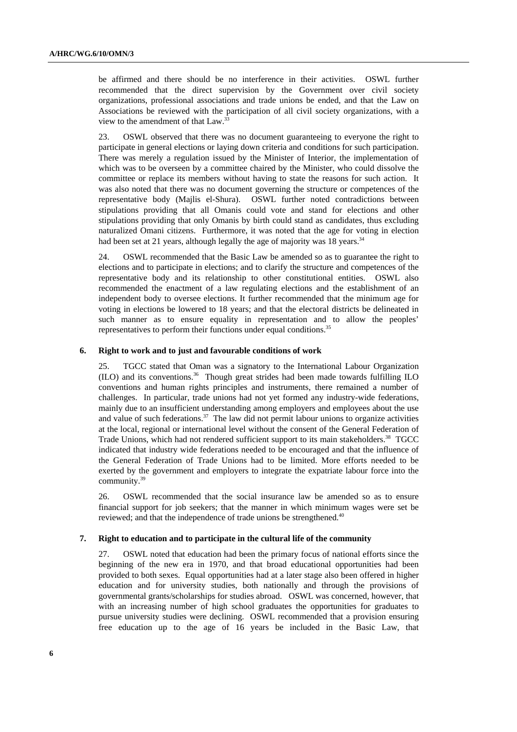be affirmed and there should be no interference in their activities. OSWL further recommended that the direct supervision by the Government over civil society organizations, professional associations and trade unions be ended, and that the Law on Associations be reviewed with the participation of all civil society organizations, with a view to the amendment of that Law.<sup>33</sup>

23. OSWL observed that there was no document guaranteeing to everyone the right to participate in general elections or laying down criteria and conditions for such participation. There was merely a regulation issued by the Minister of Interior, the implementation of which was to be overseen by a committee chaired by the Minister, who could dissolve the committee or replace its members without having to state the reasons for such action. It was also noted that there was no document governing the structure or competences of the representative body (Majlis el-Shura). OSWL further noted contradictions between stipulations providing that all Omanis could vote and stand for elections and other stipulations providing that only Omanis by birth could stand as candidates, thus excluding naturalized Omani citizens. Furthermore, it was noted that the age for voting in election had been set at 21 years, although legally the age of majority was 18 years.<sup>34</sup>

24. OSWL recommended that the Basic Law be amended so as to guarantee the right to elections and to participate in elections; and to clarify the structure and competences of the representative body and its relationship to other constitutional entities. OSWL also recommended the enactment of a law regulating elections and the establishment of an independent body to oversee elections. It further recommended that the minimum age for voting in elections be lowered to 18 years; and that the electoral districts be delineated in such manner as to ensure equality in representation and to allow the peoples' representatives to perform their functions under equal conditions.<sup>35</sup>

#### **6. Right to work and to just and favourable conditions of work**

25. TGCC stated that Oman was a signatory to the International Labour Organization  $(II)$  and its conventions.<sup>36</sup> Though great strides had been made towards fulfilling ILO conventions and human rights principles and instruments, there remained a number of challenges. In particular, trade unions had not yet formed any industry-wide federations, mainly due to an insufficient understanding among employers and employees about the use and value of such federations.<sup>37</sup> The law did not permit labour unions to organize activities at the local, regional or international level without the consent of the General Federation of Trade Unions, which had not rendered sufficient support to its main stakeholders.<sup>38</sup> TGCC indicated that industry wide federations needed to be encouraged and that the influence of the General Federation of Trade Unions had to be limited. More efforts needed to be exerted by the government and employers to integrate the expatriate labour force into the community.39

26. OSWL recommended that the social insurance law be amended so as to ensure financial support for job seekers; that the manner in which minimum wages were set be reviewed; and that the independence of trade unions be strengthened.<sup>40</sup>

#### **7. Right to education and to participate in the cultural life of the community**

27. OSWL noted that education had been the primary focus of national efforts since the beginning of the new era in 1970, and that broad educational opportunities had been provided to both sexes. Equal opportunities had at a later stage also been offered in higher education and for university studies, both nationally and through the provisions of governmental grants/scholarships for studies abroad. OSWL was concerned, however, that with an increasing number of high school graduates the opportunities for graduates to pursue university studies were declining. OSWL recommended that a provision ensuring free education up to the age of 16 years be included in the Basic Law, that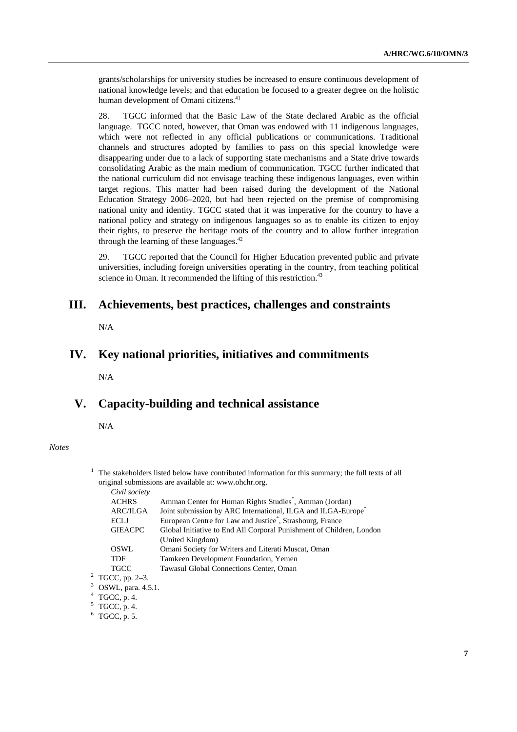grants/scholarships for university studies be increased to ensure continuous development of national knowledge levels; and that education be focused to a greater degree on the holistic human development of Omani citizens.<sup>41</sup>

28. TGCC informed that the Basic Law of the State declared Arabic as the official language. TGCC noted, however, that Oman was endowed with 11 indigenous languages, which were not reflected in any official publications or communications. Traditional channels and structures adopted by families to pass on this special knowledge were disappearing under due to a lack of supporting state mechanisms and a State drive towards consolidating Arabic as the main medium of communication. TGCC further indicated that the national curriculum did not envisage teaching these indigenous languages, even within target regions. This matter had been raised during the development of the National Education Strategy 2006–2020, but had been rejected on the premise of compromising national unity and identity. TGCC stated that it was imperative for the country to have a national policy and strategy on indigenous languages so as to enable its citizen to enjoy their rights, to preserve the heritage roots of the country and to allow further integration through the learning of these languages. $42$ 

29. TGCC reported that the Council for Higher Education prevented public and private universities, including foreign universities operating in the country, from teaching political science in Oman. It recommended the lifting of this restriction.<sup>43</sup>

### **III. Achievements, best practices, challenges and constraints**

N/A

### **IV. Key national priorities, initiatives and commitments**

N/A

## **V. Capacity-building and technical assistance**

N/A

#### *Notes*

 $1$  The stakeholders listed below have contributed information for this summary; the full texts of all original submissions are available at: www.ohchr.org. *Civil society* 

| Civil Society               |                                                                          |
|-----------------------------|--------------------------------------------------------------------------|
| <b>ACHRS</b>                | Amman Center for Human Rights Studies <sup>*</sup> , Amman (Jordan)      |
| <b>ARC/ILGA</b>             | Joint submission by ARC International, ILGA and ILGA-Europe <sup>®</sup> |
| <b>ECLJ</b>                 | European Centre for Law and Justice <sup>*</sup> , Strasbourg, France    |
| <b>GIEACPC</b>              | Global Initiative to End All Corporal Punishment of Children, London     |
|                             | (United Kingdom)                                                         |
| OSWL                        | Omani Society for Writers and Literati Muscat, Oman                      |
| <b>TDF</b>                  | Tamkeen Development Foundation, Yemen                                    |
| TGCC                        | Tawasul Global Connections Center, Oman                                  |
| <sup>2</sup> TGCC, pp. 2–3. |                                                                          |
| $3$ OSWL, para. 4.5.1.      |                                                                          |
|                             |                                                                          |

4 TGCC, p. 4.

 $6$  TGCC, p. 5.

 $5$  TGCC, p. 4.